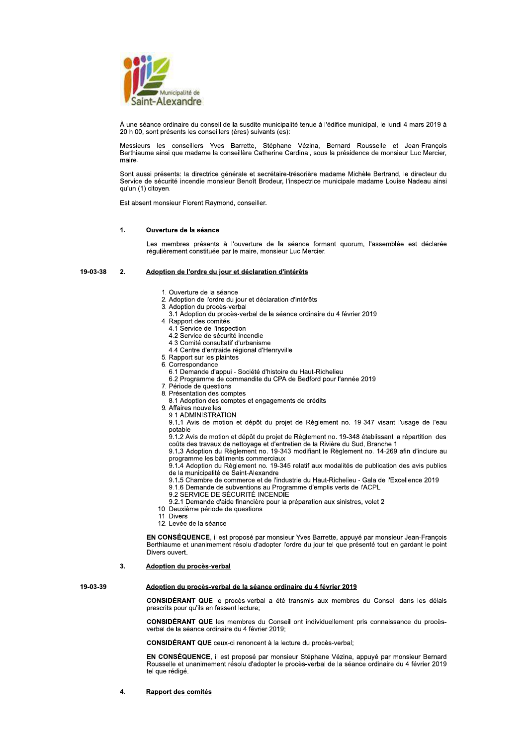

À une séance ordinaire du conseil de la susdite municipalité tenue à l'édifice municipal, le lundi 4 mars 2019 à 20 h 00, sont présents les conseillers (ères) suivants (es):

Messieurs les conseillers Yves Barrette, Stéphane Vézina, Bernard Rousselle et Jean-François<br>Berthiaume ainsi que madame la conseillère Catherine Cardinal, sous la présidence de monsieur Luc Mercier, maire

Sont aussi présents: la directrice générale et secrétaire-trésorière madame Michèle Bertrand, le directeur du Service de sécurité incendie monsieur Benoît Brodeur, l'inspectrice municipale madame Louise Nadeau ainsi qu'un (1) citoyen.

Est absent monsieur Florent Raymond, conseiller.

### $\mathbf{1}$ Ouverture de la séance

Les membres présents à l'ouverture de la séance formant quorum, l'assemblée est déclarée régulièrement constituée par le maire, monsieur Luc Mercier.

#### 19-03-38  $2.$ Adoption de l'ordre du jour et déclaration d'intérêts

- 1. Ouverture de la séance
- 2. Adoption de l'ordre du jour et déclaration d'intérêts
- 3. Adoption du procès-verbal
- 3.1 Adoption du procès-verbal de la séance ordinaire du 4 février 2019
- 4. Rapport des comités
	- 4.1 Service de l'inspection
	- 4.2 Service de sécurité incendie
	- 4.3 Comité consultatif d'urbanisme
	- 4.4 Centre d'entraide régional d'Henryville
- 5. Rapport sur les plaintes 6. Correspondance
	- 6.1 Demande d'appui Société d'histoire du Haut-Richelieu
	- 6.2 Programme de commandite du CPA de Bedford pour l'année 2019
- 7. Période de questions
- 8. Présentation des comptes
	- 8.1 Adoption des comptes et engagements de crédits
- 9. Affaires nouvelles
- 9.1 ADMINISTRATION

9.1.1 Avis de motion et dépôt du projet de Règlement no. 19-347 visant l'usage de l'eau potable

9.1.2 Avis de motion et dépôt du projet de Règlement no. 19-348 établissant la répartition des couts des travaux de nettoyage et d'entretien de la Rivière du Sud, Branche 1<br>9.1.3 Adoption du Règlement no. 19-343 modifiant le Règlement no. 14-269 afin d'inclure au

orto via programme les bâtiments commerciaux<br>9.1.4 Adoption du Règlement no. 19-345 relatif aux modalités de publication des avis publics

de la municipalité de Saint-Alexandre

9.1.5 Chambre de commerce et de l'industrie du Haut-Richelieu - Gala de l'Excellence 2019

9.1.6 Demande de subventions au Programme d'emplis verts de l'ACPL

- 9.2 SERVICE DE SÉCURITÉ INCENDIE
- 9.2.1 Demande d'aide financière pour la préparation aux sinistres, volet 2

10. Deuxième période de questions

- 11. Divers
- 12. Levée de la séance

EN CONSÉQUENCE, il est proposé par monsieur Yves Barrette, appuyé par monsieur Jean-François Berthiaume et unanimement résolu d'adopter l'ordre du jour tel que présenté tout en gardant le point Divers ouvert

## $3<sub>l</sub>$ Adoption du procès-verbal

19-03-39

# Adoption du procès-verbal de la séance ordinaire du 4 février 2019

CONSIDÉRANT QUE le procès-verbal a été transmis aux membres du Conseil dans les délais prescrits pour qu'ils en fassent lecture:

**CONSIDÉRANT QUE** les membres du Conseil ont individuellement pris connaissance du procèsverbal de la séance ordinaire du 4 février 2019;

**CONSIDÉRANT QUE** ceux-ci renoncent à la lecture du procès-verbal:

EN CONSÉQUENCE, il est proposé par monsieur Stéphane Vézina, appuyé par monsieur Bernard Rousselle et unanimement résolu d'adopter le procès-verbal de la séance ordinaire du 4 février 2019 tel que rédigé.

## 4. Rapport des comités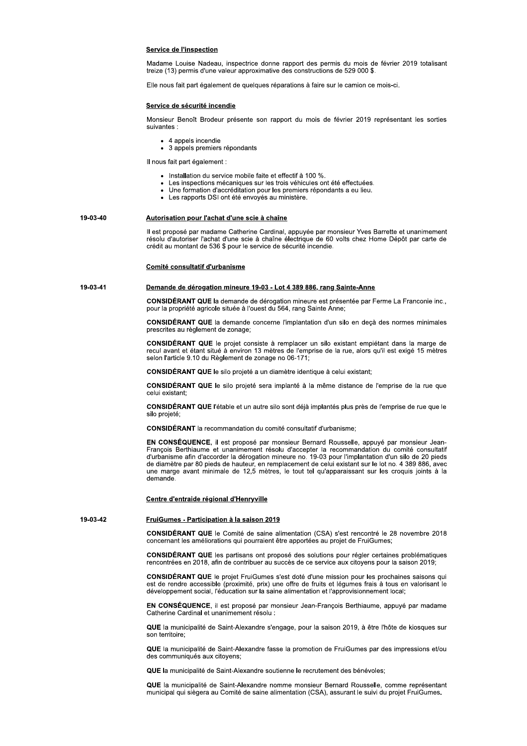## **Service de l'inspection**

Madame Louise Nadeau, inspectrice donne rapport des permis du mois de février 2019 totalisant treize (13) permis d'une valeur approximative des constructions de 529 000 \$.

Elle nous fait part également de quelques réparations à faire sur le camion ce mois-ci.

## Service de sécurité incendie

Monsieur Benoît Brodeur présente son rapport du mois de février 2019 représentant les sorties suivantes :

- 4 appels incendie
- 3 appels premiers répondants

Il nous fait part également :

• Installation du service mobile faite et effectif à 100 %.

crédit au montant de 536 \$ pour le service de sécurité incendie.

- Les inspections mécaniques sur les trois véhicules ont été effectuées.
- Une formation d'accréditation pour les premiers répondants a eu lieu.
- Les rapports DSI ont été envoyés au ministère.

Autorisation pour l'achat d'une scie à chaîne Il est proposé par madame Catherine Cardinal, appuyée par monsieur Yves Barrette et unanimement résolu d'autoriser l'achat d'une scie à chaîne électrique de 60 volts chez Home Dépôt par carte de

Demande de dérogation mineure 19-03 - Lot 4 389 886, rang Sainte-Anne

## Comité consultatif d'urbanisme

19-03-41

19-03-40

CONSIDÉRANT QUE la demande de dérogation mineure est présentée par Ferme La Franconie inc., pour la propriété agricole située à l'ouest du 564, rang Sainte Anne;

CONSIDÉRANT QUE la demande concerne l'implantation d'un silo en deçà des normes minimales prescrites au règlement de zonage:

CONSIDÉRANT QUE le projet consiste à remplacer un silo existant empiétant dans la marge de recul avant et étant situé à environ 13 mètres de l'emprise de la rue, alors qu'il est exigé 15 mètres selon l'article 9.10 du Règlement de zonage no 06-171;

CONSIDÉRANT QUE le silo projeté a un diamètre identique à celui existant;

CONSIDÉRANT QUE le silo projeté sera implanté à la même distance de l'emprise de la rue que celui existant;

CONSIDÉRANT QUE l'étable et un autre silo sont déjà implantés plus près de l'emprise de rue que le silo projeté:

**CONSIDÉRANT** la recommandation du comité consultatif d'urbanisme:

EN CONSÉQUENCE, il est proposé par monsieur Bernard Rousselle, appuyé par monsieur Jean-François Berthiaume et unanimement résolu d'accepter la recommandation du comité consultatif d'urbanisme afin d'accorder la dérogation mineure no. 19-03 pour l'implantation d'un silo de 20 pieds de diamètre par 80 pieds de hauteur, en remplacement de celui existant sur le lot no. 4 389 886, avec<br>une marge avant minimale de 12,5 mètres, le tout tel qu'apparaissant sur les croquis joints à la demande

## Centre d'entraide régional d'Henryville

FruiGumes - Participation à la saison 2019

19-03-42

**CONSIDÉRANT QUE** le Comité de saine alimentation (CSA) s'est rencontré le 28 novembre 2018 concernant les améliorations qui pourraient être apportées au projet de FruiGumes;

CONSIDÉRANT QUE les partisans ont proposé des solutions pour régler certaines problématiques rencontrées en 2018, afin de contribuer au succès de ce service aux citoyens pour la saison 2019;

CONSIDÉRANT QUE le projet FruiGumes s'est doté d'une mission pour les prochaines saisons qui est de rendre accessible (proximité, prix) une offre de fruits et légumes frais à tous en valorisant le développement social, l'éducation sur la saine alimentation et l'approvisionnement local;

EN CONSÉQUENCE, il est proposé par monsieur Jean-François Berthiaume, appuyé par madame Catherine Cardinal et unanimement résolu :

QUE la municipalité de Saint-Alexandre s'engage, pour la saison 2019, à être l'hôte de kiosques sur son territoire;

QUE la municipalité de Saint-Alexandre fasse la promotion de FruiGumes par des impressions et/ou des communiqués aux citovens.

QUE la municipalité de Saint-Alexandre soutienne le recrutement des bénévoles;

QUE la municipalité de Saint-Alexandre nomme monsieur Bernard Rousselle, comme représentant municipal qui siègera au Comité de saine alimentation (CSA), assurant le suivi du projet FruiGumes.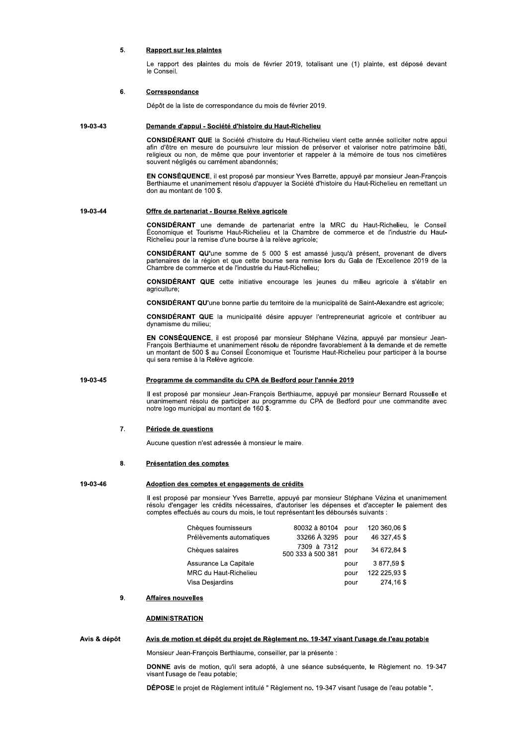## 5. **Rapport sur les plaintes**

Le rapport des plaintes du mois de février 2019, totalisant une (1) plainte, est déposé devant le Conseil.

### 6. Correspondance

Dépôt de la liste de correspondance du mois de février 2019.

### 19-03-43 Demande d'appui - Société d'histoire du Haut-Richelieu

CONSIDÉRANT QUE la Société d'histoire du Haut-Richelieu vient cette année solliciter notre appui afin d'être en mesure de poursuivre leur mission de préserver et valoriser notre patrimoine bâti, religieux ou non, de même que pour inventorier et rappeler à la mémoire de tous nos cimetières souvent négligés ou carrément abandonnés;

EN CONSÉQUENCE, il est proposé par monsieur Yves Barrette, appuyé par monsieur Jean-François Berthiaume et unanimement résolu d'appuyer la Société d'histoire du Haut-Richelieu en remettant un don au montant de 100 \$.

### 19-03-44 Offre de partenariat - Bourse Relève agricole

CONSIDÉRANT une demande de partenariat entre la MRC du Haut-Richelieu, le Conseil<br>Économique et Tourisme Haut-Richelieu et la Chambre de commerce et de l'industrie du Haut-Richelieu pour la remise d'une bourse à la relève agricole;

CONSIDÉRANT QU'une somme de 5 000 \$ est amassé jusqu'à présent, provenant de divers partenaires de la région et que cette bourse sera remise lors du Gala de l'Excellence 2019 de la Chambre de commerce et de l'industrie du Haut-Richelieu;

CONSIDÉRANT QUE cette initiative encourage les jeunes du milieu agricole à s'établir en agriculture;

CONSIDÉRANT QU'une bonne partie du territoire de la municipalité de Saint-Alexandre est agricole;

CONSIDÉRANT QUE la municipalité désire appuyer l'entrepreneuriat agricole et contribuer au dynamisme du milieu;

EN CONSÉQUENCE, il est proposé par monsieur Stéphane Vézina, appuyé par monsieur Jean-François Berthiaume et unanimement résolu de répondre favorablement à la demande et de remette un montant de 500 \$ au Conseil Économique et Tourisme Haut-Richelieu pour participer à la bourse qui sera remise à la Relève agricole.

### 19-03-45 Programme de commandite du CPA de Bedford pour l'année 2019

Il est proposé par monsieur Jean-François Berthiaume, appuyé par monsieur Bernard Rousselle et unanimement résolu de participer au programme du CPA de Bedford pour une commandite avec notre logo municipal au montant de 160 \$.

### $\overline{7}$ Période de questions

Aucune question n'est adressée à monsieur le maire.

## 8. **Présentation des comptes**

### 19-03-46 Adoption des comptes et engagements de crédits

Il est proposé par monsieur Yves Barrette, appuyé par monsieur Stéphane Vézina et unanimement résolu d'engager les crédits nécessaires, d'autoriser les dépenses et d'accepter le paiement des comptes effectués au cours du mois, le tout représentant les déboursés suivants :

| Chèques fournisseurs         | 80032 à 80104                    | pour | 120 360.06 \$ |
|------------------------------|----------------------------------|------|---------------|
| Prélèvements automatiques    | 33266 À 3295                     | pour | 46 327,45 \$  |
| Chèques salaires             | 7309 à 7312<br>500 333 à 500 381 | pour | 34 672.84 \$  |
| Assurance La Capitale        |                                  | pour | 3877.59\$     |
| <b>MRC du Haut-Richelieu</b> |                                  | pour | 122 225,93 \$ |
| Visa Desjardins              |                                  | pour | 274,16\$      |

### $9<sub>1</sub>$ **Affaires nouvelles**

## **ADMINISTRATION**

## Avis & dépôt Avis de motion et dépôt du projet de Règlement no. 19-347 visant l'usage de l'eau potable

Monsieur Jean-François Berthiaume, conseiller, par la présente :

DONNE avis de motion, qu'il sera adopté, à une séance subséquente, le Règlement no. 19-347 visant l'usage de l'eau potable;

DÉPOSE le projet de Règlement intitulé " Règlement no. 19-347 visant l'usage de l'eau potable ".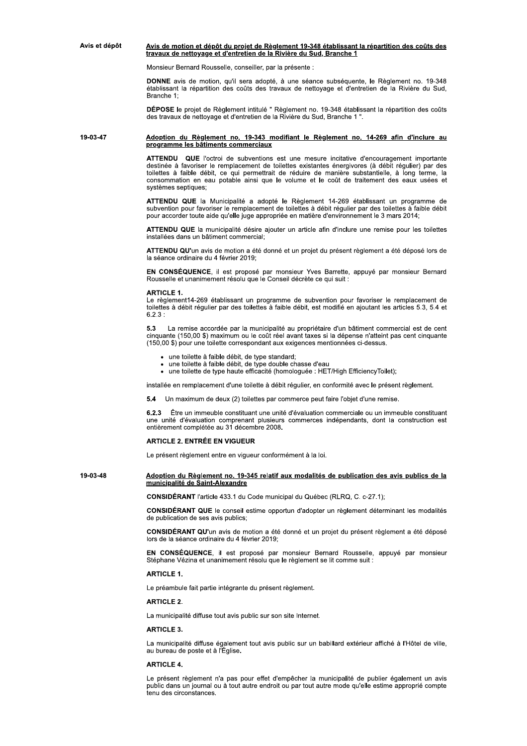## Avis et dépôt Avis de motion et dépôt du projet de Règlement 19-348 établissant la répartition des coûts des travaux de nettoyage et d'entretien de la Rivière du Sud, Branche 1

Monsieur Bernard Rousselle, conseiller, par la présente :

DONNE avis de motion, qu'il sera adopté, à une séance subséquente, le Règlement no. 19-348 établissant la répartition des coûts des travaux de nettoyage et d'entretien de la Rivière du Sud, Branche 1:

DÉPOSE le projet de Règlement intitulé " Règlement no. 19-348 établissant la répartition des coûts des travaux de nettoyage et d'entretien de la Rivière du Sud, Branche 1 "

Adoption du Règlement no. 19-343 modifiant le Règlement no. 14-269 afin d'inclure au 19-03-47 programme les bâtiments commerciaux

> ATTENDU QUE l'octroi de subventions est une mesure incitative d'encouragement importante destinée à favoriser le remplacement de toilettes existantes énergivores (à débit régulier) par des toilettes à faible débit, ce qui permettrait de réduire de manière substantielle, à long terme, la consommation en eau potable ainsi que le volume et le coût de traitement des eaux usées et systèmes septiques:

> ATTENDU QUE la Municipalité a adopté le Règlement 14-269 établissant un programme de subvention pour favoriser le remplacement de toilettes à débit régulier par des toilettes à faible débit pour accorder toute aide qu'elle juge appropriée en matière d'environnement le 3 mars 2014;

> ATTENDU QUE la municipalité désire ajouter un article afin d'inclure une remise pour les toilettes installées dans un bâtiment commercial;

> ATTENDU QU'un avis de motion a été donné et un projet du présent règlement a été déposé lors de la séance ordinaire du 4 février 2019;

> EN CONSÉQUENCE, il est proposé par monsieur Yves Barrette, appuyé par monsieur Bernard Rousselle et unanimement résolu que le Conseil décrète ce qui suit :

## **ARTICLE 1.**

Le règlement14-269 établissant un programme de subvention pour favoriser le remplacement de toilettes à débit régulier par des toilettes à faible débit, est modifié en ajoutant les articles 5.3, 5.4 et  $6.2.3:$ 

La remise accordée par la municipalité au propriétaire d'un bâtiment commercial est de cent 5.3 cinquante (150,00 \$) maximum ou le coût réel avant taxes si la dépense n'atteint pas cent cinquante (150,00 \$) pour une toilette correspondant aux exigences mentionnées ci-dessus.

- · une toilette à faible débit, de type standard;
- 
- une toilette à faible débit, de type double chasse d'eau<br>une toilette à faible débit, de type double chasse d'eau<br>une toilette de type haute efficacité (homologuée : HET/High EfficiencyToilet);

installée en remplacement d'une toilette à débit régulier, en conformité avec le présent règlement.

5.4 Un maximum de deux (2) toilettes par commerce peut faire l'obiet d'une remise.

Être un immeuble constituant une unité d'évaluation commerciale ou un immeuble constituant une unité d'évaluation comprenant plusieurs commerces indépendants, dont la construction est entièrement complétée au 31 décembre 2008.

# **ARTICLE 2. ENTRÉE EN VIGUEUR**

Le présent règlement entre en vigueur conformément à la loi.

## 19-03-48 Adoption du Règlement no. 19-345 relatif aux modalités de publication des avis publics de la municipalité de Saint-Alexandre

**CONSIDÉRANT** l'article 433.1 du Code municipal du Québec (RLRQ, C. c-27.1);

CONSIDÉRANT QUE le conseil estime opportun d'adopter un règlement déterminant les modalités de publication de ses avis publics:

CONSIDÉRANT QU'un avis de motion a été donné et un projet du présent règlement a été déposé lors de la séance ordinaire du 4 février 2019;

EN CONSÉQUENCE, il est proposé par monsieur Bernard Rousselle, appuyé par monsieur<br>Stéphane Vézina et unanimement résolu que le règlement se lit comme suit :

## **ARTICLE 1.**

Le préambule fait partie intégrante du présent règlement.

## **ARTICLE 2.**

La municipalité diffuse tout avis public sur son site Internet.

# **ARTICLE 3**

La municipalité diffuse également tout avis public sur un babillard extérieur affiché à l'Hôtel de ville, au bureau de poste et à l'Église.

## **ARTICLE 4.**

Le présent règlement n'a pas pour effet d'empêcher la municipalité de publier également un avis public dans un journal ou à tout autre endroit ou par tout autre mode qu'elle estime approprié compte tenu des circonstances.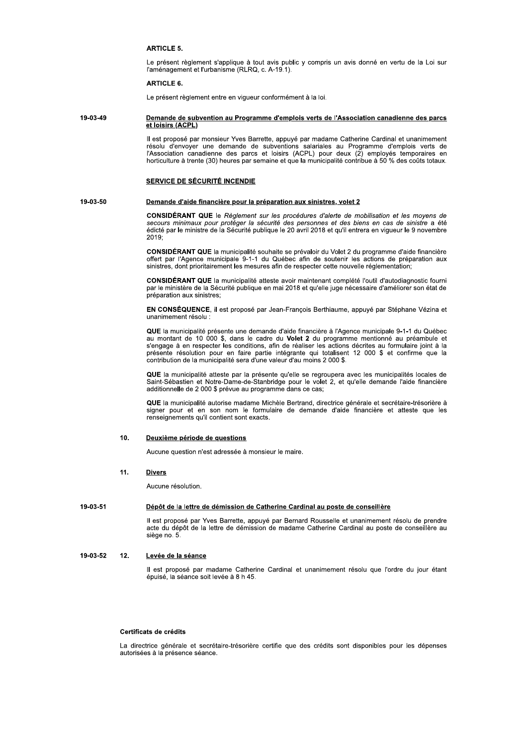# **ARTICLE 5.**

Le présent règlement s'applique à tout avis public y compris un avis donné en vertu de la Loi sur l'aménagement et l'urbanisme (RLRQ, c. A-19.1).

# **ARTICLE 6**

Le présent règlement entre en vigueur conformément à la loi.

## 19-03-49 Demande de subvention au Programme d'emplois verts de l'Association canadienne des parcs et loisirs (ACPL)

Il est proposé par monsieur Yves Barrette, appuyé par madame Catherine Cardinal et unanimement résolu d'envoyer une demande de subventions salariales au Programme d'emplois verts de<br>l'Association canadienne des parcs et loisirs (ACPL) pour deux (2) employés temporaires en horticulture à trente (30) heures par semaine et que la municipalité contribue à 50 % des coûts totaux.

## SERVICE DE SÉCURITÉ INCENDIE

19-03-50

# Demande d'aide financière pour la préparation aux sinistres, volet 2

CONSIDÉRANT QUE le Règlement sur les procédures d'alerte de mobilisation et les moyens de secours minimaux pour protéger la sécurité des personnes et des biens en cas de sinistre a été<br>édicté par le ministre de la Sécurité publique le 20 avril 2018 et qu'il entrera en vigueur le 9 novembre  $2019 -$ 

CONSIDÉRANT QUE la municipalité souhaite se prévaloir du Volet 2 du programme d'aide financière offert par l'Agence municipale 9-1-1 du Québec afin de soutenir les actions de préparation aux sinistres, dont prioritairement les mesures afin de respecter cette nouvelle réglementation;

CONSIDÉRANT QUE la municipalité atteste avoir maintenant complété l'outil d'autodiagnostic fourni par le ministère de la Sécurité publique en mai 2018 et qu'elle juge nécessaire d'améliorer son état de préparation aux sinistres;

EN CONSÉQUENCE, il est proposé par Jean-François Berthiaume, appuyé par Stéphane Vézina et unanimement résolu :

QUE la municipalité présente une demande d'aide financière à l'Agence municipale 9-1-1 du Québec au montant de 10 000 \$, dans le cadre du Volet 2 du programme mentionné au préambule et s'engage à en respecter les conditions, afin de réaliser les actions décrites au formulaire joint à la présente résolution pour en faire partie intégrante qui totalisent 12 000 \$ et confirme que la contribution de la municipalité sera d'une valeur d'au moins 2 000 \$.

QUE la municipalité atteste par la présente qu'elle se regroupera avec les municipalités locales de Saint-Sébastien et Notre-Dame-de-Stanbridge pour le volet 2, et qu'elle demande l'aide financière additionnelle de 2 000 \$ prévue au programme dans ce cas;

QUE la municipalité autorise madame Michèle Bertrand, directrice générale et secrétaire-trésorière à signer pour et en son nom le formulaire de demande d'aide financière et atteste que les renseignements qu'il contient sont exacts.

### $10.$ Deuxième période de questions

Aucune question n'est adressée à monsieur le maire.

## $11.$ **Divers**

Aucune résolution.

### 19-03-51 Dépôt de la lettre de démission de Catherine Cardinal au poste de conseillère

Il est proposé par Yves Barrette, appuyé par Bernard Rousselle et unanimement résolu de prendre acte du dépôt de la lettre de démission de madame Catherine Cardinal au poste de conseillère au siège no. 5.

#### 19-03-52  $12<sub>1</sub>$ Levée de la séance

Il est proposé par madame Catherine Cardinal et unanimement résolu que l'ordre du jour étant épuisé, la séance soit levée à 8 h 45.

## Certificats de crédits

La directrice générale et secrétaire-trésorière certifie que des crédits sont disponibles pour les dépenses autorisées à la présence séance.